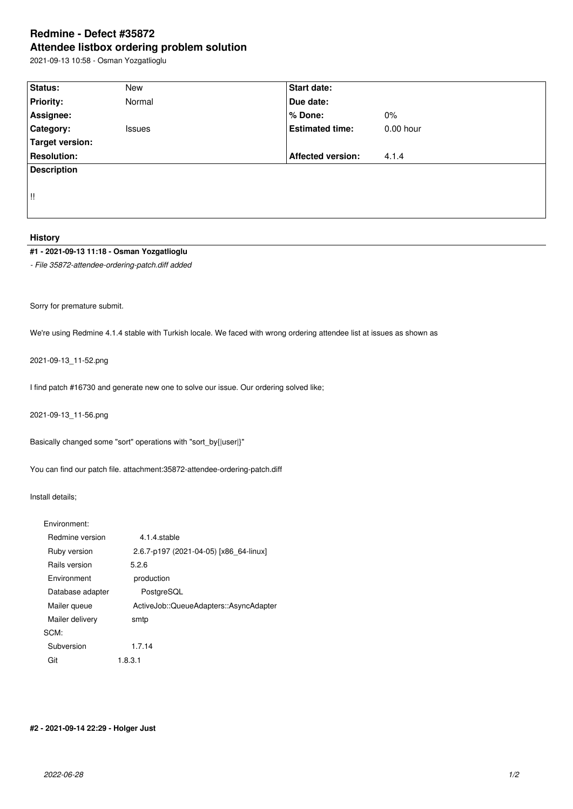# **Redmine - Defect #35872 Attendee listbox ordering problem solution**

2021-09-13 10:58 - Osman Yozgatlioglu

| Status:            | <b>New</b>    | Start date:              |             |  |  |  |
|--------------------|---------------|--------------------------|-------------|--|--|--|
| <b>Priority:</b>   | Normal        | Due date:                |             |  |  |  |
| Assignee:          |               | % Done:                  | 0%          |  |  |  |
| <b>Category:</b>   | <b>Issues</b> | <b>Estimated time:</b>   | $0.00$ hour |  |  |  |
| Target version:    |               |                          |             |  |  |  |
| <b>Resolution:</b> |               | <b>Affected version:</b> | 4.1.4       |  |  |  |
| <b>Description</b> |               |                          |             |  |  |  |
|                    |               |                          |             |  |  |  |
| !!                 |               |                          |             |  |  |  |
|                    |               |                          |             |  |  |  |

### **History**

## **#1 - 2021-09-13 11:18 - Osman Yozgatlioglu**

*- File 35872-attendee-ordering-patch.diff added*

Sorry for premature submit.

We're using Redmine 4.1.4 stable with Turkish locale. We faced with wrong ordering attendee list at issues as shown as

2021-09-13\_11-52.png

I find patch #16730 and generate new one to solve our issue. Our ordering solved like;

2021-09-13\_11-56.png

Basically changed some "sort" operations with "sort\_by{|user|}"

You can find our patch file. attachment:35872-attendee-ordering-patch.diff

Install details;

| Fnvironment:       |                                        |
|--------------------|----------------------------------------|
| Redmine version    | 4.1.4.stable                           |
| Ruby version       | 2.6.7-p197 (2021-04-05) [x86 64-linux] |
| Rails version      | 5.2.6                                  |
| <b>Environment</b> | production                             |
| Database adapter   | PostgreSQL                             |
| Mailer queue       | ActiveJob::QueueAdapters::AsyncAdapter |
| Mailer delivery    | smtp                                   |
| SCM:               |                                        |
| Subversion         | 1.7.14                                 |
| Git                | 1.8.3.1                                |

#### **#2 - 2021-09-14 22:29 - Holger Just**